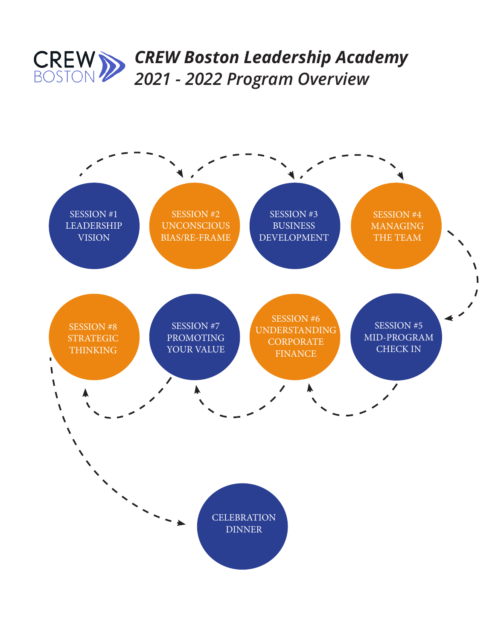

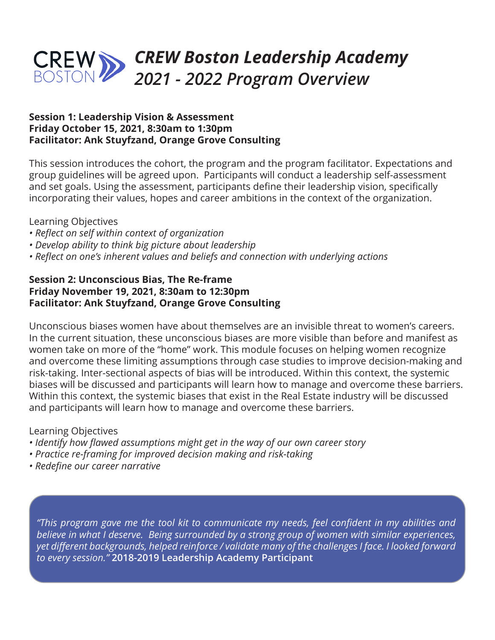

#### **Session 1: Leadership Vision & Assessment Friday October 15, 2021, 8:30am to 1:30pm Facilitator: Ank Stuyfzand, Orange Grove Consulting**

This session introduces the cohort, the program and the program facilitator. Expectations and group guidelines will be agreed upon. Participants will conduct a leadership self-assessment and set goals. Using the assessment, participants define their leadership vision, specifically incorporating their values, hopes and career ambitions in the context of the organization.

## Learning Objectives

- *Reflect on self within context of organization*
- *Develop ability to think big picture about leadership*
- *Reflect on one's inherent values and beliefs and connection with underlying actions*

# **Session 2: Unconscious Bias, The Re-frame Friday November 19, 2021, 8:30am to 12:30pm Facilitator: Ank Stuyfzand, Orange Grove Consulting**

Unconscious biases women have about themselves are an invisible threat to women's careers. In the current situation, these unconscious biases are more visible than before and manifest as women take on more of the "home" work. This module focuses on helping women recognize and overcome these limiting assumptions through case studies to improve decision-making and risk-taking. Inter-sectional aspects of bias will be introduced. Within this context, the systemic biases will be discussed and participants will learn how to manage and overcome these barriers. Within this context, the systemic biases that exist in the Real Estate industry will be discussed and participants will learn how to manage and overcome these barriers.

# Learning Objectives

- *Identify how flawed assumptions might get in the way of our own career story*
- *Practice re-framing for improved decision making and risk-taking*
- *Redefine our career narrative*

*"This program gave me the tool kit to communicate my needs, feel confident in my abilities and believe in what I deserve. Being surrounded by a strong group of women with similar experiences, yet different backgrounds, helped reinforce / validate many of the challenges I face. I looked forward to every session."* **2018-2019 Leadership Academy Participant**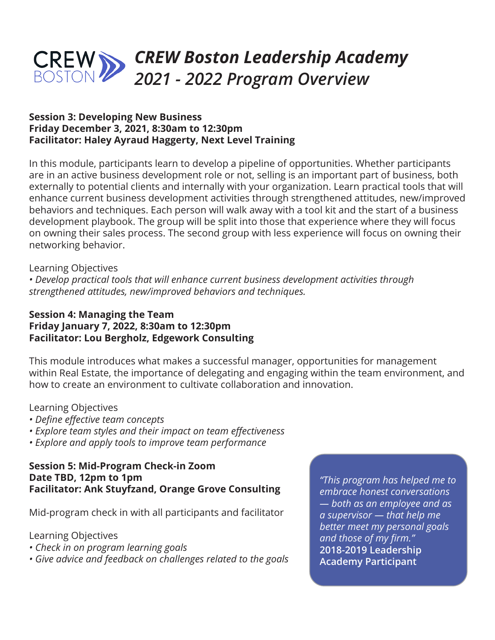

#### **Session 3: Developing New Business Friday December 3, 2021, 8:30am to 12:30pm Facilitator: Haley Ayraud Haggerty, Next Level Training**

In this module, participants learn to develop a pipeline of opportunities. Whether participants are in an active business development role or not, selling is an important part of business, both externally to potential clients and internally with your organization. Learn practical tools that will enhance current business development activities through strengthened attitudes, new/improved behaviors and techniques. Each person will walk away with a tool kit and the start of a business development playbook. The group will be split into those that experience where they will focus on owning their sales process. The second group with less experience will focus on owning their networking behavior.

#### Learning Objectives

*• Develop practical tools that will enhance current business development activities through strengthened attitudes, new/improved behaviors and techniques.* 

## **Session 4: Managing the Team Friday January 7, 2022, 8:30am to 12:30pm Facilitator: Lou Bergholz, Edgework Consulting**

This module introduces what makes a successful manager, opportunities for management within Real Estate, the importance of delegating and engaging within the team environment, and how to create an environment to cultivate collaboration and innovation.

#### Learning Objectives

- *Define effective team concepts*
- *Explore team styles and their impact on team effectiveness*
- *Explore and apply tools to improve team performance*

### **Session 5: Mid-Program Check-in Zoom Date TBD, 12pm to 1pm Facilitator: Ank Stuyfzand, Orange Grove Consulting**

Mid-program check in with all participants and facilitator

Learning Objectives

- *Check in on program learning goals*
- *Give advice and feedback on challenges related to the goals*

*"This program has helped me to embrace honest conversations — both as an employee and as a supervisor — that help me better meet my personal goals and those of my firm."*  **2018-2019 Leadership Academy Participant**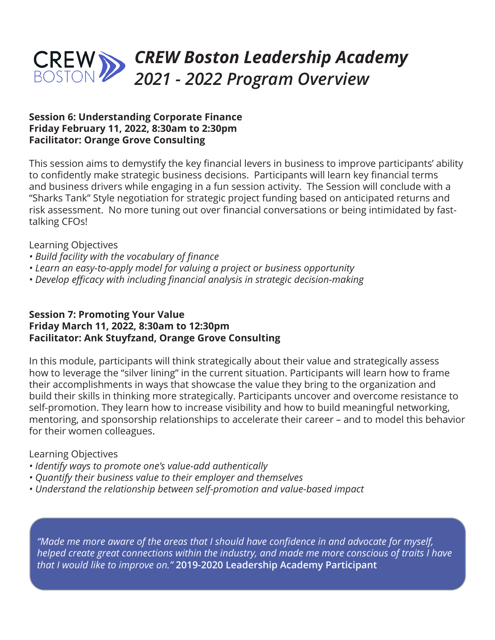

## **Session 6: Understanding Corporate Finance Friday February 11, 2022, 8:30am to 2:30pm Facilitator: Orange Grove Consulting**

This session aims to demystify the key financial levers in business to improve participants' ability to confidently make strategic business decisions. Participants will learn key financial terms and business drivers while engaging in a fun session activity. The Session will conclude with a "Sharks Tank" Style negotiation for strategic project funding based on anticipated returns and risk assessment. No more tuning out over financial conversations or being intimidated by fasttalking CFOs!

Learning Objectives

- *Build facility with the vocabulary of finance*
- *Learn an easy-to-apply model for valuing a project or business opportunity*
- *Develop efficacy with including financial analysis in strategic decision-making*

#### **Session 7: Promoting Your Value Friday March 11, 2022, 8:30am to 12:30pm Facilitator: Ank Stuyfzand, Orange Grove Consulting**

In this module, participants will think strategically about their value and strategically assess how to leverage the "silver lining" in the current situation. Participants will learn how to frame their accomplishments in ways that showcase the value they bring to the organization and build their skills in thinking more strategically. Participants uncover and overcome resistance to self-promotion. They learn how to increase visibility and how to build meaningful networking, mentoring, and sponsorship relationships to accelerate their career – and to model this behavior for their women colleagues.

# Learning Objectives

- *Identify ways to promote one's value-add authentically*
- *Quantify their business value to their employer and themselves*
- *Understand the relationship between self-promotion and value-based impact*

*"Made me more aware of the areas that I should have confidence in and advocate for myself, helped create great connections within the industry, and made me more conscious of traits I have that I would like to improve on."* **2019-2020 Leadership Academy Participant**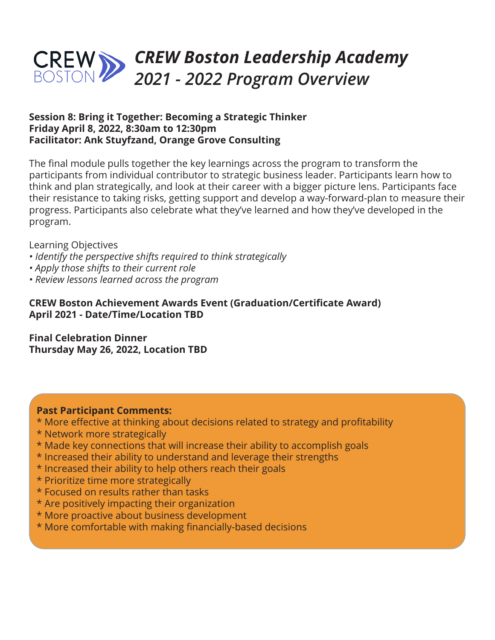# *CREW Boston Leadership Academy 2021 - 2022 Program Overview*

## **Session 8: Bring it Together: Becoming a Strategic Thinker Friday April 8, 2022, 8:30am to 12:30pm Facilitator: Ank Stuyfzand, Orange Grove Consulting**

The final module pulls together the key learnings across the program to transform the participants from individual contributor to strategic business leader. Participants learn how to think and plan strategically, and look at their career with a bigger picture lens. Participants face their resistance to taking risks, getting support and develop a way-forward-plan to measure their progress. Participants also celebrate what they've learned and how they've developed in the program.

Learning Objectives

- *Identify the perspective shifts required to think strategically*
- *Apply those shifts to their current role*
- *Review lessons learned across the program*

# **CREW Boston Achievement Awards Event (Graduation/Certificate Award) April 2021 - Date/Time/Location TBD**

**Final Celebration Dinner Thursday May 26, 2022, Location TBD**

# **Past Participant Comments:**

- \* More effective at thinking about decisions related to strategy and profitability
- \* Network more strategically
- \* Made key connections that will increase their ability to accomplish goals
- \* Increased their ability to understand and leverage their strengths
- \* Increased their ability to help others reach their goals
- \* Prioritize time more strategically
- \* Focused on results rather than tasks
- \* Are positively impacting their organization
- \* More proactive about business development
- \* More comfortable with making financially-based decisions